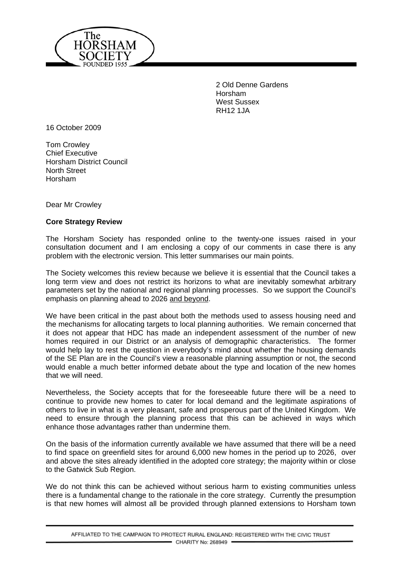

2 Old Denne Gardens Horsham West Sussex RH12 1JA

16 October 2009

Tom Crowley Chief Executive Horsham District Council North Street Horsham

Dear Mr Crowley

## **Core Strategy Review**

The Horsham Society has responded online to the twenty-one issues raised in your consultation document and I am enclosing a copy of our comments in case there is any problem with the electronic version. This letter summarises our main points.

The Society welcomes this review because we believe it is essential that the Council takes a long term view and does not restrict its horizons to what are inevitably somewhat arbitrary parameters set by the national and regional planning processes. So we support the Council's emphasis on planning ahead to 2026 and beyond.

We have been critical in the past about both the methods used to assess housing need and the mechanisms for allocating targets to local planning authorities. We remain concerned that it does not appear that HDC has made an independent assessment of the number of new homes required in our District or an analysis of demographic characteristics. The former would help lay to rest the question in everybody's mind about whether the housing demands of the SE Plan are in the Council's view a reasonable planning assumption or not, the second would enable a much better informed debate about the type and location of the new homes that we will need.

Nevertheless, the Society accepts that for the foreseeable future there will be a need to continue to provide new homes to cater for local demand and the legitimate aspirations of others to live in what is a very pleasant, safe and prosperous part of the United Kingdom. We need to ensure through the planning process that this can be achieved in ways which enhance those advantages rather than undermine them.

On the basis of the information currently available we have assumed that there will be a need to find space on greenfield sites for around 6,000 new homes in the period up to 2026, over and above the sites already identified in the adopted core strategy; the majority within or close to the Gatwick Sub Region.

We do not think this can be achieved without serious harm to existing communities unless there is a fundamental change to the rationale in the core strategy. Currently the presumption is that new homes will almost all be provided through planned extensions to Horsham town